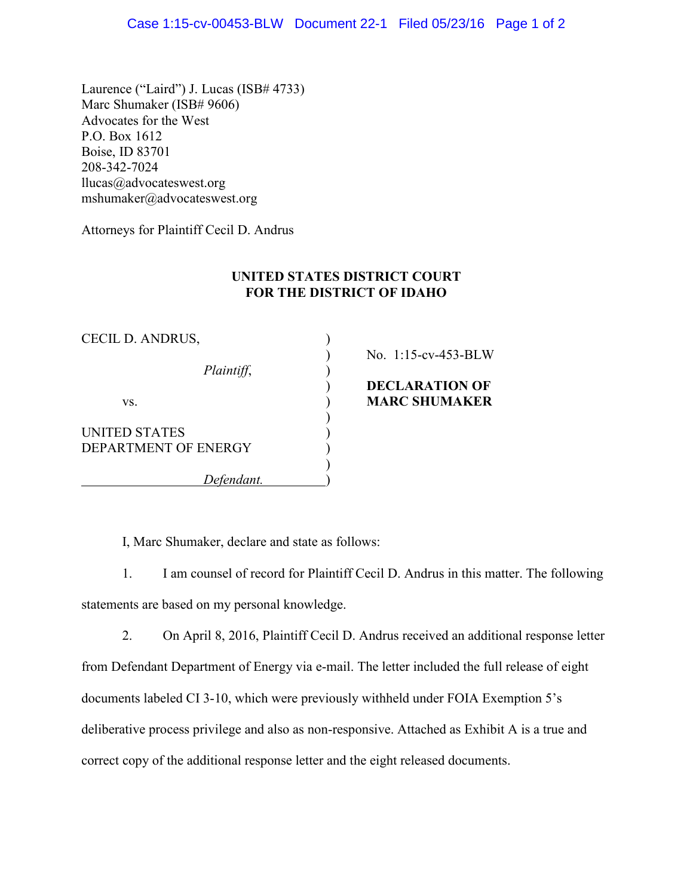Laurence ("Laird") J. Lucas (ISB# 4733) Marc Shumaker (ISB# 9606) Advocates for the West P.O. Box 1612 Boise, ID 83701 208-342-7024  $llucas@advocateswest.org$ mshumaker@advocateswest.org

Attorneys for Plaintiff Cecil D. Andrus

## **UNITED STATES DISTRICT COURT FOR THE DISTRICT OF IDAHO**

| CECIL D. ANDRUS,     |                       |
|----------------------|-----------------------|
|                      | No. 1:15-cv-453-BLW   |
| Plaintiff,           |                       |
|                      | <b>DECLARATION OF</b> |
| VS.                  | <b>MARC SHUMAKER</b>  |
|                      |                       |
| UNITED STATES        |                       |
| DEPARTMENT OF ENERGY |                       |
|                      |                       |
| Defendant.           |                       |

I, Marc Shumaker, declare and state as follows:

1. I am counsel of record for Plaintiff Cecil D. Andrus in this matter. The following statements are based on my personal knowledge.

2. On April 8, 2016, Plaintiff Cecil D. Andrus received an additional response letter from Defendant Department of Energy via e-mail. The letter included the full release of eight documents labeled CI 3-10, which were previously withheld under FOIA Exemption 5's deliberative process privilege and also as non-responsive. Attached as Exhibit A is a true and correct copy of the additional response letter and the eight released documents.